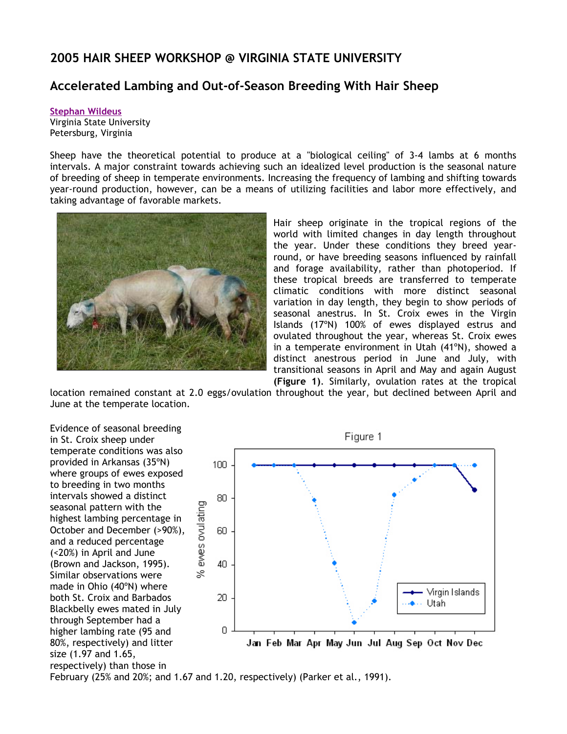## **2005 HAIR SHEEP WORKSHOP @ VIRGINIA STATE UNIVERSITY**

## **Accelerated Lambing and Out-of-Season Breeding With Hair Sheep**

**Stephan Wildeus** Virginia State University Petersburg, Virginia

Sheep have the theoretical potential to produce at a "biological ceiling" of 3-4 lambs at 6 months intervals. A major constraint towards achieving such an idealized level production is the seasonal nature of breeding of sheep in temperate environments. Increasing the frequency of lambing and shifting towards year-round production, however, can be a means of utilizing facilities and labor more effectively, and taking advantage of favorable markets.



Hair sheep originate in the tropical regions of the world with limited changes in day length throughout the year. Under these conditions they breed yearround, or have breeding seasons influenced by rainfall and forage availability, rather than photoperiod. If these tropical breeds are transferred to temperate climatic conditions with more distinct seasonal variation in day length, they begin to show periods of seasonal anestrus. In St. Croix ewes in the Virgin Islands (17ºN) 100% of ewes displayed estrus and ovulated throughout the year, whereas St. Croix ewes in a temperate environment in Utah (41ºN), showed a distinct anestrous period in June and July, with transitional seasons in April and May and again August **(Figure 1)**. Similarly, ovulation rates at the tropical

location remained constant at 2.0 eggs/ovulation throughout the year, but declined between April and June at the temperate location.

Evidence of seasonal breeding in St. Croix sheep under temperate conditions was also provided in Arkansas (35ºN) where groups of ewes exposed to breeding in two months intervals showed a distinct seasonal pattern with the highest lambing percentage in October and December (>90%), and a reduced percentage (<20%) in April and June (Brown and Jackson, 1995). Similar observations were made in Ohio (40ºN) where both St. Croix and Barbados Blackbelly ewes mated in July through September had a higher lambing rate (95 and 80%, respectively) and litter size (1.97 and 1.65, respectively) than those in



February (25% and 20%; and 1.67 and 1.20, respectively) (Parker et al., 1991).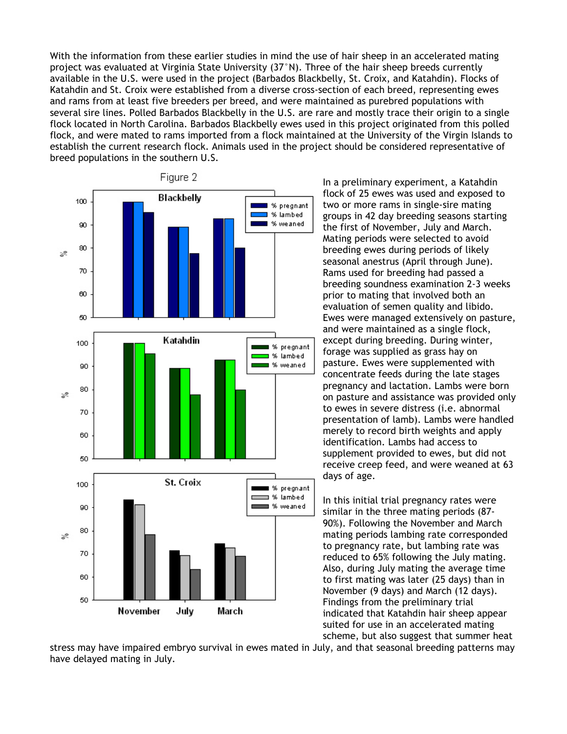With the information from these earlier studies in mind the use of hair sheep in an accelerated mating project was evaluated at Virginia State University (37°N). Three of the hair sheep breeds currently available in the U.S. were used in the project (Barbados Blackbelly, St. Croix, and Katahdin). Flocks of Katahdin and St. Croix were established from a diverse cross-section of each breed, representing ewes and rams from at least five breeders per breed, and were maintained as purebred populations with several sire lines. Polled Barbados Blackbelly in the U.S. are rare and mostly trace their origin to a single flock located in North Carolina. Barbados Blackbelly ewes used in this project originated from this polled flock, and were mated to rams imported from a flock maintained at the University of the Virgin Islands to establish the current research flock. Animals used in the project should be considered representative of breed populations in the southern U.S.



In a preliminary experiment, a Katahdin flock of 25 ewes was used and exposed to two or more rams in single-sire mating groups in 42 day breeding seasons starting the first of November, July and March. Mating periods were selected to avoid breeding ewes during periods of likely seasonal anestrus (April through June). Rams used for breeding had passed a breeding soundness examination 2-3 weeks prior to mating that involved both an evaluation of semen quality and libido. Ewes were managed extensively on pasture, and were maintained as a single flock, except during breeding. During winter, forage was supplied as grass hay on pasture. Ewes were supplemented with concentrate feeds during the late stages pregnancy and lactation. Lambs were born on pasture and assistance was provided only to ewes in severe distress (i.e. abnormal presentation of lamb). Lambs were handled merely to record birth weights and apply identification. Lambs had access to supplement provided to ewes, but did not receive creep feed, and were weaned at 63 days of age.

In this initial trial pregnancy rates were similar in the three mating periods (87- 90%). Following the November and March mating periods lambing rate corresponded to pregnancy rate, but lambing rate was reduced to 65% following the July mating. Also, during July mating the average time to first mating was later (25 days) than in November (9 days) and March (12 days). Findings from the preliminary trial indicated that Katahdin hair sheep appear suited for use in an accelerated mating scheme, but also suggest that summer heat

stress may have impaired embryo survival in ewes mated in July, and that seasonal breeding patterns may have delayed mating in July.